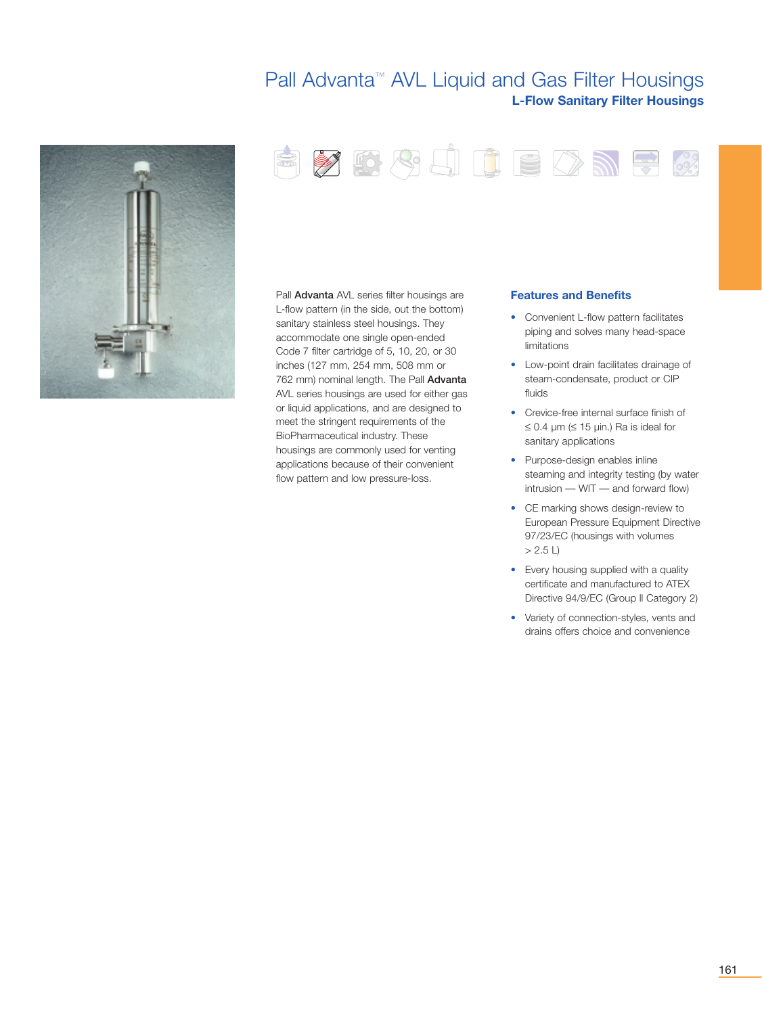# Pall Advanta™ AVL Liquid and Gas Filter Housings **L-Flow Sanitary Filter Housings**





Pall Advanta AVL series filter housings are L-flow pattern (in the side, out the bottom) sanitary stainless steel housings. They accommodate one single open-ended Code 7 filter cartridge of 5, 10, 20, or 30 inches (127 mm, 254 mm, 508 mm or 762 mm) nominal length. The Pall Advanta AVL series housings are used for either gas or liquid applications, and are designed to meet the stringent requirements of the BioPharmaceutical industry. These housings are commonly used for venting applications because of their convenient flow pattern and low pressure-loss.

## **Features and Benefits**

- Convenient L-flow pattern facilitates piping and solves many head-space limitations
- Low-point drain facilitates drainage of steam-condensate, product or CIP fluids
- Crevice-free internal surface finish of ≤ 0.4 µm (≤ 15 µin.) Ra is ideal for sanitary applications
- Purpose-design enables inline steaming and integrity testing (by water intrusion — WIT — and forward flow)
- CE marking shows design-review to European Pressure Equipment Directive 97/23/EC (housings with volumes  $> 2.5 L$
- Every housing supplied with a quality certificate and manufactured to ATEX Directive 94/9/EC (Group ll Category 2)
- Variety of connection-styles, vents and drains offers choice and convenience